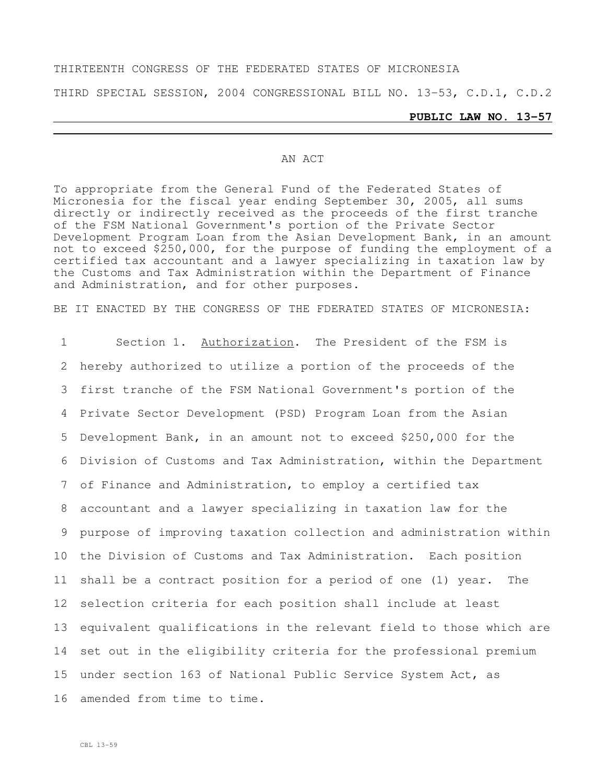### THIRTEENTH CONGRESS OF THE FEDERATED STATES OF MICRONESIA

THIRD SPECIAL SESSION, 2004 CONGRESSIONAL BILL NO. 13-53, C.D.1, C.D.2

#### **PUBLIC LAW NO. 13-57**

#### AN ACT

To appropriate from the General Fund of the Federated States of Micronesia for the fiscal year ending September 30, 2005, all sums directly or indirectly received as the proceeds of the first tranche of the FSM National Government's portion of the Private Sector Development Program Loan from the Asian Development Bank, in an amount not to exceed \$250,000, for the purpose of funding the employment of a certified tax accountant and a lawyer specializing in taxation law by the Customs and Tax Administration within the Department of Finance and Administration, and for other purposes.

BE IT ENACTED BY THE CONGRESS OF THE FDERATED STATES OF MICRONESIA:

 Section 1. Authorization. The President of the FSM is hereby authorized to utilize a portion of the proceeds of the first tranche of the FSM National Government's portion of the Private Sector Development (PSD) Program Loan from the Asian Development Bank, in an amount not to exceed \$250,000 for the Division of Customs and Tax Administration, within the Department of Finance and Administration, to employ a certified tax accountant and a lawyer specializing in taxation law for the purpose of improving taxation collection and administration within the Division of Customs and Tax Administration. Each position shall be a contract position for a period of one (1) year. The selection criteria for each position shall include at least equivalent qualifications in the relevant field to those which are set out in the eligibility criteria for the professional premium under section 163 of National Public Service System Act, as amended from time to time.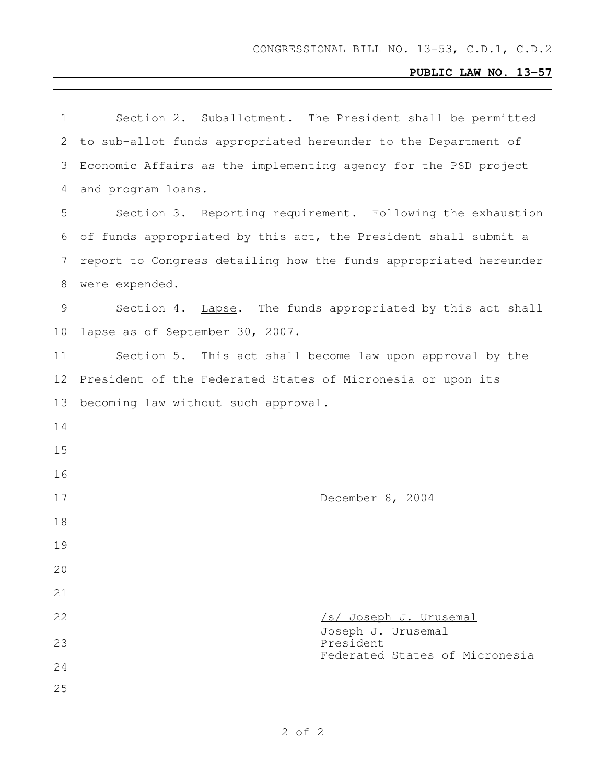## **PUBLIC LAW NO. 13-57**

| 1  | Section 2. Suballotment. The President shall be permitted         |
|----|-------------------------------------------------------------------|
| 2  | to sub-allot funds appropriated hereunder to the Department of    |
| 3  | Economic Affairs as the implementing agency for the PSD project   |
| 4  | and program loans.                                                |
| 5  | Section 3. Reporting requirement. Following the exhaustion        |
| 6  | of funds appropriated by this act, the President shall submit a   |
| 7  | report to Congress detailing how the funds appropriated hereunder |
| 8  | were expended.                                                    |
| 9  | Section 4. Lapse. The funds appropriated by this act shall        |
| 10 | lapse as of September 30, 2007.                                   |
| 11 | Section 5. This act shall become law upon approval by the         |
| 12 | President of the Federated States of Micronesia or upon its       |
| 13 | becoming law without such approval.                               |
| 14 |                                                                   |
| 15 |                                                                   |
| 16 |                                                                   |
| 17 | December 8, 2004                                                  |
| 18 |                                                                   |
| 19 |                                                                   |
| 20 |                                                                   |
| 21 |                                                                   |
| 22 | <u>/s/ Joseph J. Urusemal</u><br>Joseph J. Urusemal               |
| 23 | President<br>Federated States of Micronesia                       |
| 24 |                                                                   |
| 25 |                                                                   |